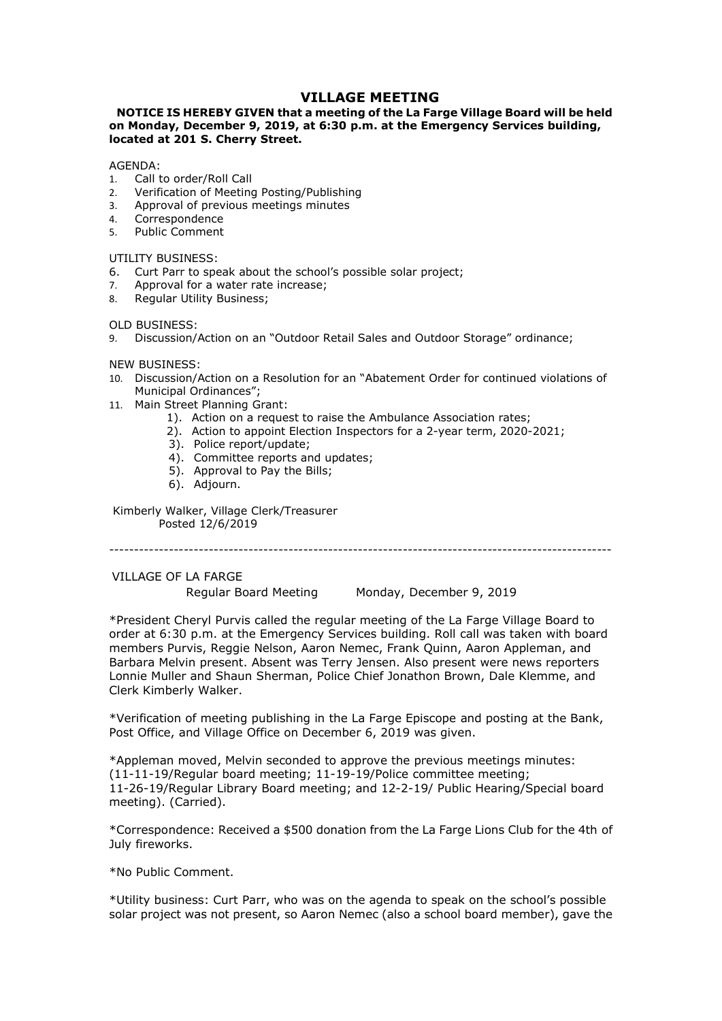# **VILLAGE MEETING<br>: a meeting of the La Farge Village Board will be held<br>at 6:30 p.m. at the Emergency Services building, VILLAGE MEETING<br>NOTICE IS HEREBY GIVEN that a meeting of the La Farge Village Board will be held<br>n Monday, December 9, 2019, at 6:30 p.m. at the Emergency Services building,<br>GENDA:<br>Call to order/Roll Call VILLAGE MEETING<br>
WILLAGE MEETING**<br>
on Monday, December 9, 2019, at 6:30 p.m. at the Emergency Services building,<br>
located at 201 S. Cherry Street.<br>
AGENDA:<br>
A. Call to order/Roll Call<br>
2. Verification of Meeting Posting/P **VILLAGE MEETING<br>
VILLAGE MEETING**<br> **ON Monday, December 9, 2019, at 6:30 p.m. at the Emergency Services building,<br>
located at 201 S. Cherry Street.<br>
AGENDA:<br>
1. Call to order/Roll Call<br>
1. Call to order/Roll Call<br>
2. Veri VILLAGE MEETING**<br> **NOTICE IS HEREBY GIVEN that a meeting of the La Farge Village Board will be held**<br> **on Monday, December 9, 2019, at 6:30 p.m. at the Emergency Services building,<br>
located at 201 S. Cherry Street.**<br>
AGEN **VILLAGE MEETING**<br> **VILLAGE MEETING**<br> **ON Monday, December 9, 2019, at 6:30 p.m. at the Emergency Services building,<br>
AGENDA: Coarted at 201 S. Cherry Street.<br>
A. Call to order/Roll Call<br>
1. Call to order/Roll Call<br>
2. Ver VILLAGE MEETING<br>
VILLAGE MEETING**<br> **ONTICE IS HEREBY GIVEN that a meeting of the La Farge Village Board will be held<br>
on Monday, December 9, 2019, at 6:30 p.m. at the Emergency Services building,<br>
located at 201 S. Cherry VILLAGE MEETING**<br> **VILLAGE MEETING**<br> **ON Monday, December 9, 2019, at 6:30 p.m. at the Emergency Services buil<br>
located at 201 S. Cherry Street.<br>
AGENDA:<br>
1. Call to order/Roll Call<br>
1. Call to order/Roll Call<br>
2. Verific VILLAGE MEETING**<br> **VILLAGE MEETING**<br> **on Monday, December 9, 2019, at 6:30 p.m. at the Emergency Services b<br>
located at 201 S. Cherry Street.<br>
AGENDA:<br>
1. Call to order/Roll Call<br>
2. Verification of Meeting Posting/Publis NOTICE IS HEREBY GIVEN that a meeting of the La Farge Village Board will be held<br>on Monday, December 9, 2019, at 6:30 p.m. at the Emergency Services building,<br>located at 201 S. Cherry Street.<br>AGENDA:<br>1. Call to order/Roll YILLAGE MEETING**<br> **NOTICE IS HEREBY GIVEN that a meeting of the La Farge Village Board will be held<br>
on Monday, December 9, 2019, at 6:30 p.m. at the Emergency Services building,<br>
located at 201 S. Cherry Street.<br>
1. Call SALLAGE MEETING**<br> **SALLAGE MEETING**<br> **SALLAGE MEETING**<br> **REGULAR CONDITS AND AN AMONG THE USE THE VIDEO BOAT ON MORE SALLAGE AGENDA:**<br>
AGENDA:<br>
1. Call to order/Roll Call<br>
2. Verification of Meeting Posting/Publishing<br>
2. **VILLAGE MEETING**<br> **VILLAGE MEETING**<br> **ON Monday, December 9, 2019, at 6:30 p.m. at the Emergency Service<br>
located at 201 S. Cherry Street.<br>
AGENDA:<br>
1. Call to order/Roll Call<br>
2. Verification of Meeting Posting/Publishin VILLAGE MEETING**<br> **NOTICE IS HEREBY GIVEN that a meeting of the La Farge Village Board will be held<br>
<b>on Monday, December 9, 2019, at 6:30 p.m. at the Emergency Services building,<br>
AGENDA:<br>
ACENDA:<br>
4. Carl to order/Roll VILLAGE MEETING**<br> **WILLAGE MEETING**<br> **On Monday, December 9, 2019, at 6:30 p.m. at the Emergency Service<br>
<b>IOCENDA:**<br>
1. Call to order/Roll Call<br>
1. Call to order/Roll Call<br>
1. Call to order/Roll Call<br>
2. Verification of **10. Discussion:**<br> **NILLAGE MEETING**<br> **NOTICE IS HEREBY GIVEN that a meeting of the La Farge Village Board will be held<br>
located at 201 S. Cherry Street.<br>
AGENDA:<br>
1. Call to order/Roll Call<br>
1. Call to order/Roll Call<br>
1 VILLAGE MEETING**<br> **VILLAGE MEETING**<br> **IONARY, December 9, 2019, at 6:30 p.m. at the Emergency Services buildir<br>
ted at 201 S. Cherry Street.<br>
NDA:<br>
Call to order/Roll Call<br>
Cerrespondence<br>
Correspondence<br>
Verification of VILLAGE MEETING**<br> **VILLAGE MEETING**<br> **On Monday, December 9, 2019, at 6:30 p.m. at the Emergency Services building,<br>
located at 201 S. Cherry Street.<br>
AGENDA:<br>
1. Call to order/Roll Call<br>
1. Call to order/Roll Call<br>
2. Ve IS HEREBY GIVEN that a meeting of the La Farge Village Board will be held**<br> **Vy, December 9, 2019, at 6:30 p.m. at the Emergency Services building,**<br> **201 S. Cherry Street.**<br> **201 S. Cherry Street.**<br> **201 S. Cherry Street** IS HEREBY GIVEN that a meeting of the La Farge Village Board will be held<br>
2). December 9, 2019, at 6:30 p.m. at the Emergency Services building,<br>
2015. Cherry Street.<br>
2015. Cherry Street.<br>
2016. Scherry Street.<br>
2016. Th

## AGENDA:

- 
- 
- 
- 4. Correspondence<br>5. Public Comment
- 

- 
- 
- 

**y, December 9, 2019, at 6:30 p.m. at the Emergency Services building,<br>201 S. Cherry Street.**<br>
order/Roll Call<br>
ation of Meeting Posting/Publishing<br>
spandator of Meeting Sminutes<br>
pondence<br>
Comment<br>
Comment<br>
spandator Acco 2**01 S. Cherry Street.**<br>
ander/Roll Call<br>
ation of Meeting Posting/Publishing<br>
synddence<br>
comment<br>
comments:<br>
SSINESS:<br>
SINESS:<br>
Arr to speak about the school's possible solar project;<br>
arr to speak about the school's poss order/Roll Call<br>ation of Meeting Posting/Publishing<br>comdence<br>Comment<br>Comment to speak about the school's possible solar project;<br>aar to speak about the school's possible solar project;<br>also for a water rate increase;<br>ison/ order/Roll Call<br>pation of Meeting Posting/Publishing<br>repordence<br>spondence<br>Comment to speak about the school's possible solar project;<br>arr to speak about the school's possible solar project;<br>val for a water rate increase;<br>a . Verification of Meeting Posting/Publishing<br>
.. Approval of previous meetings minutes<br>
.. Chubic Commence<br>
.. TILITY BUSINESS:<br>
.. Curt Parr to speak about the school's possible solar project;<br>
.. Approval or a weater rat oval of previous meetings minutes<br>
espondence<br>
espondence<br>
Ec Comment<br>
BUSINESS:<br>
Parr to speak about the school's possible solar project;<br>
alar Utility Business;<br>
INESS:<br>
INESS:<br>
INESS:<br>
INESS:<br>
INESS:<br>
ENESS:<br>
ENESS:<br>
EN

- -
	-
	-
	-
	-
	-

UTILITY BUSINESS:<br>
UTLITY BUSINESS:<br>
2. Approval for a water rate increase;<br>
2. Approval for a water rate increase;<br>
9. Discussion/Action on an "Outdoor Retail Sales and Outdoor Storage" ordinance;<br>
1. OLISUSSION, Action o Regular Board Meeting Monday, December 9, 2019 8. Regular Utility Business;<br>
9. Discussion/Action on an "Outdoor Retail Sales and Outdoor Storage" ordinance;<br>
9. Discussion/Action on a Resolution for an "Abatement Order for continued violations of<br>
10. Discussion/Actio OLD BUSINESS:<br>
NEW BUSINESS:<br>
NEW BUSINESS:<br>
NEW BUSINESS:<br>
NEW BUSINESS:<br>
10. Discussion/Action on a Resolution for an "Abatement Order for continued violations of<br>
10. Discussion/Action on a request to raise the Ambulanc OLD BUSINESS:<br>
The Discussion/Action on an "Outdoor Retail Sales and Outdoor Storage" ordinance;<br>
10. Discussion/Action on a Resolution for an "Abatement Order for continued violations of<br>
Municipal Ordinances";<br>
11. Main 9. Distussionly Actori on all otheroid stars and Outdoor Storage ordinates;<br>
10. Discussionly Action on a Resolution for an "Abatement Order for continued violations of<br>
11. Main Street Planning Grant:<br>
11. Main Street Pla NEW BUSINESS:<br>
20.01Soussion/Action on a Resolution for an "Abatement Order for continued violations of<br>
21. Main Street Pianning Grant:<br>
11. Main Sherman Granties:<br>
21. Action to a propint Election Inspectors for a 2-year New bound: 20.<br>
10. Discussion/Action on a Resolution for an "Abatement Order for continued violations<br>
11. Main Street Planning Grant:<br>
11. Main Street Planning Grant:<br>
11. Main Street Planning Grant:<br>
11. Main Street Pla 11. Main Street Planning Grant:<br>
13. Main Street Atlanning Crantist or raise the Ambulance Association rates;<br>
13. Action to appoint Bection Inspectors for a 2-year term, 2020-2021;<br>
3). Committee reports and updates;<br>
5). 1). Action on a request to raise the Ambulance Association rates;<br>
2). Action to appoint Election Inspectors for a 2-year term, 2020-2021;<br>
3). Police report-lyndate;<br>
4). Committee reports and updates;<br>
5). Approval to Pa 3). Police reports, and undates;<br>
4). Committee reports and updates;<br>
5). Approval to Pay the Bills;<br>
6). Adjourn.<br>
Kimberly Walker, Village Clerk/Treasurer<br>
Posted  $12/6/2019$ <br>
<br>
\*Cresident Che applier Board Meeting Mond 4). Committee reports and updates;<br>
5). Approval to Pay the Bills;<br>
6). Adjourn.<br>
Kimberly Walker, Village Clerk/Treasurer<br>
"Constant Chery Police"<br>
Regular Board Meeting Monday, December 9, 2019<br>
"President Cheryl Purvis 5). Approval to Pay the Bills;<br>
6). Adjourn.<br>
Kimberly Walker, Village Clerk/Treasurer<br>
Posted 12/6/2019<br> **TILLAGE OF LA FARCE**<br> **Posted The Manustan Board Meeting**<br>
Monday, December 9, 2019<br> **President Chergular Board M** 6). Adjourn.<br>
Kimberly Walker, Village Clerk/Treasurer<br>
Posted 12/6/2019<br>
<br>
TILLAGE OF LA FARGE<br>
Regular Board Meeting Monday, December 9, 2019<br>
<br>
\*President Cheryl Purvis called the regular meeting of the La Farge Village Kimberly Walker, Village Clerk/Treasurer<br>
"VILLAGE OF LA FARGE"<br>
Regular Board Meeting Monday, December 9, 2019<br>
"\*President Chery! Purvis called the regular meeting of the La Farge Village Board to<br>
order at 6:30 p.m. at Posted 12/6/2019<br>
VILLAGE OF LA FARGE<br>
Regular Board Meeting Monday, December 9, 2019<br>
\*President Cheryl Purvis called the regular meeting of the La Farge Village<br>
members at 6:30 p.m. at the Emergency Services building. R VILLAGE OF LA FARGE<br>
"Regular Board Meeting Monday, December 9, 2019<br>
"President Cheryl Purvis called the regular meeting of the La Farge Village Boar<br>
order at 6:30 p.m. at the Emergency Services building. Roll call was t VILLAGE OF TARNET PROPRIME THE READ MORING THE READ THE READ THE READ PROPRIME THE G-30 p.m. at the Emergency Services building. Roll call was taken with board omembers Purvis, Reggie Nelson, Aaron Nemec, Frank Quinn, Aaro repair board meeting monday, December 9, 2019<br>
\*President Cheryl Purvis called the regular meeting of the La Farge Willage Board to<br>
order at 6:30 p.m. at the Emergency Services building. Roll call was taken with board<br>
Ba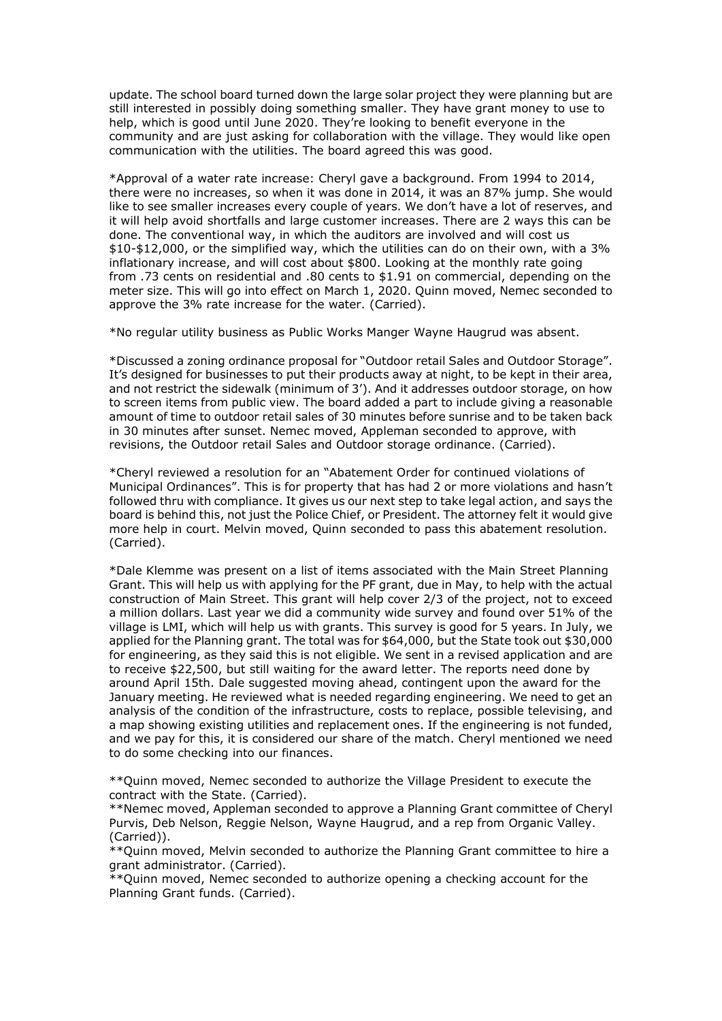update. The school board turned down the large solar project they were planning but are<br>still interested in possibly doing something smaller. They have grant money to use to<br>help, which is good until June 2020. They're loo update. The school board turned down the large solar project they were planning but are<br>still interested in possibly doing something smaller. They have grant money to use to<br>help, which is good until June 2020. They're loo update. The school board turned down the large solar project they were planning but are<br>still interested in possibly doing something smaller. They have grant money to use to<br>help, which is good until June 2020. They're loo update. The school board turned down the large solar project they were planning but are<br>still interested in possibly doing something smaller. They have grant money to use to<br>help, which is good until June 2020. They're loo update. The school board turned down the large solar project they were planning but are<br>still interested in possibly doing something smaller. They have grant money to use to<br>help, which is good until June 2020. They're loo

update. The school board turned down the large solar project they were planning but are still interested in possibly doing something smaller. They have grant money to use to help, which is good until June 2020. They're loo update. The school board turned down the large solar project they were planning but are still interested in possibly doing something smaller. They have grant money to use to help, which is good until June 2020. They're loo update. The school board turned down the large solar project they were planning but are<br>still interested in possibly doing something smaller. They have grant money to use to<br>help, which is good until June 2020. They're loo update. The school board turned down the large solar project they were planning but are<br>still interested in possibly doing something smaller. They have grant money to use to<br>help, which is good until June 2020. They're loo update. The school board turned down the large solar project they were planning but are<br>still interested in possibly doing something smaller. They have grant money to use to<br>help, which is good until June 2020. They're loo update. The school board turned down the large solar project they were planning but are still interested in possibly doing something smaller. They have grant money to use to help, which is good until June 2020. They're loo update. The school board turned down the large solar project they were planning but are still interested in possibly doing something smaller. They have grant money to use to help, which is good until June 2020. They re loo update. The school board turned down the large solar project they were planning but are help, which is good until June 2020. They're looking to prefile evryone in the length, or community and are just asking for collaborat update. The school board turned down the large solar project they were planning but are<br>still interested in possibly doing something smaller. They have grant money to use to<br>help, which is good until June 2020. They re loo update. The school board turned down the large solar project they were planning but are<br>still interested in possibly doing something smaller. They have grant money to<br>belo, which is good until June 2020. They're looking to update. The school board turned down the large solar project they were planning but are<br>still interested in possibly doing something smaller. They have grant money to use to<br>help, which is good until June 2020. They're loo update. The school board turned down the large solar project they were planning but are<br>still interested in possibly doing something smaller. They have grant money to use to<br>help, which is good until June 2020. They're loo update. The school board turned down the large solar project they were planning but are<br>till interested in possibly doing something smaller. They have grant money to use to<br>thelp, which is good until June 2020. They're loo update. The school board turned down the large solar project they were planning but are<br>still interested in possibly doing something smaller. They have grant money to use to<br>help, which is good until June 2020. They're loo update. The school board turned down the large solar project they were planning but are still interested in possibly doing something smaller. They have grant money to use to selable conmunity and are just assign for collab upade. The school board turned down the large solar propet they were panaling interested in possibly doing something smaller. They have grant money to use to help, which is good until June 2020. They're looking to benefit still inferested in possibly dong something smaller. They have grant money to use to select community and are just assiving for collaboration with the village. They yould like open communication with the utilities. The boa neny, which is good until June 2020. Iney're looking to benefit everyone in the very would like open<br>communication with the utilities. The board agreed this was good.<br>
"Approval of a water rate increases. Cheryl gave a bac communication with the utilities. The board agreed this was good.<br>
\*Aperoval of a water rate increases. Cheryl gave a background. From 1994 to 2014, there were no increases, every clouple of years, We don't have a lot of r \*Approval of a water rate increase: Cheryl gave a background. From 1994 to 2014, these were no increases, so when it was done in 2014, it was an 87% jump. She would there were no increases wery couple of years. We dont hav \*Approval or a water rate increases: Cheryl gave a backgrounn. From 1994 to 2014, the vose smaller increases every couple of years. We don't have a bot of reserves, and like the see smaller increases are y acquited precent there were no increases, so when it was done in 2014, it was an 8 x% jump. She would the thit will help avoid shortalls and large customer increases. There are 2 ways this can be the will help avoid shortalls and large cus like to see smaller increases every couple of years. We don't have a lot or reserves, The dome. The conventional way, in which the auditors are involved and will cost us<br>410-412,000, or the simplified way, which the utilit

\$10.400, or the simplined way, which the utilities can do on their own, with a 3%<br>sinfactionary increase, and will cost about \$800. Looking at the monthly rate giong<br>from .73 cents on residential and .80 cents to \$1.91 on infrationary increase, and will cost about \$900. Looking at the monthly rate going<br>from .73 cents on residential and .80 cents to \$1.91 on commercial, depending on the<br>meter size. This will go into effect on March 1, 2020.

(Carried).

rrom ./3 cents on residential and .30 cents to \$1.91 on commercial, depending on the state of the water. (Carried).<br>
"No regular utility business as Public Works Manger Wayne Haugrud was absent.<br>
"No regular utility busine meers size. I ms will go into effect on March 1, 2020. Quinn moved, Nemec seconded to<br>approve the 3% rate increase for the water. (Carried).<br>"No regular utility business as Public Works Manger Wayne Haugrud was absent.<br>"Di approve the 3% rate increase tor the water. (Larned).<br>\*No regular willip business as Public Works Manger Wayne Haugrud was absent.<br>\*Discussed a zoning ordinance proposal for "Outdoor retail Sales and Outdoor Storage",<br>Ti's \*No regular utility business as Public Works Manger Wayne Haugrud was absent.<br>\*Discussed a zoning ordinance proposal for "Outdoor retail Sales and Outdoor Storage".<br>And storiest dor businesses to put their products away at \*No regular utility business as Public works Manger wayne Haugrud was absent.<br>\*Discussed a zoning ordinance proposal for "Outdoor retail Sales and Outdoor Storage".<br>Tit's designed for businesses to put their products away \*Discussed a zoning ordinance proposal for "Outdoor retail Sales and Outdoor Storage".<br>
It's designed for businesses to put their products away at night, to be keept in their area,<br>
and not restrict the sidewalk (minimum o \*Discussed a zoning originame.e proposal for "Quitoor retail sales and Quitoor storage". This designed for businesses to put their products away at hight, to be kept in their area, and not restrict the sidewalk (minimum of It's designed for businesses to put their products away at hight, to be kept in their area,<br>and not restrict the sidewalk (minimum of 3'). And it addresses outdoor storage, on how<br>to screen items form public view. The boar and not restrict the slotewalk (minimum of 3°). And it addresses out<br>to screen items from public view. The board added a part to include giving a reasonable<br>in 30 ministes after to outdoor retail sales of 30 ministes befor to screen teems from public view. The board adea a part to include giving a reasonable and the betwen backet in 30 minutes and to include giving the revisions, the Outdoor retail Sales of 30 minutes before sunrise and to b amount of three to outdoor retail sales of 30 minutes before summes end to be taken backen to the match. The Outdoor storage outline and the match term in a "Aberten to the match term in the "Cheryl reviewed a resolution f m 30 minutes after sunser. Nemer moved, Appleman seconded to approve, with<br>movies and our stressions, the Outdoor credit Sales and Outdoor storage ordinance. (Carried).<br>
"Chery! reviewed a resolution for an "Abatement Orde \*Cheryl reviewed a resolution for an "Abatement Order for continued violations of<br>Municipal Ordinances". This is for property that has had 2 or more violations and hasn't<br>Molloved thru with compliance. It gives us our next \*Chery! reviewed a resolution for an "Abatement trucer for continued violations of<br>Municipal Ordinances". This is for property that has had 2 or more violations and hasn't<br>followed thru with compliance. It gives us our nex Municpal Ordnamecs". Ins is tor properly that has had 2 or more violations and nash the followed thu with compliance. It gives us our next step to take legal action, and says the board is behind this, not just the Police C followed thru win compliance. It gives us our next step to take legia action, and says the<br>poard is behind this, not just the Police Chief, or President. The attomey felt it would give<br>more help in court. Melvin moved, Qui more help in court. Melvin moved, Quinn seconded to pass this abatement resolution.<br>
"Carried).<br>
"Dale Klemme was present on a list of items associated with the Main Street Planning<br>
Grant. This will help us with applying (Carried).<br>
"Tole Klemme was present on a list of items associated with the Main Street Planning<br>
"Grant. This will help us with applying for the PF grant, due in May, to help with the actual<br>
construction of Main Street. \*Dale Klemme was present on a list of items associated with the Main Street Planning Grant. This will help uss with applying for the PF grant, due in May, to help with the actual Gonstruction of Main Street. This grant wi <sup>+1</sup>Date Kiemme was present on a list of terms associated with the Main Street Planning Grant. This will help us with applying for the PF grant, due in May, to help with the actual construction of Main Street. This grant

(Carried)).